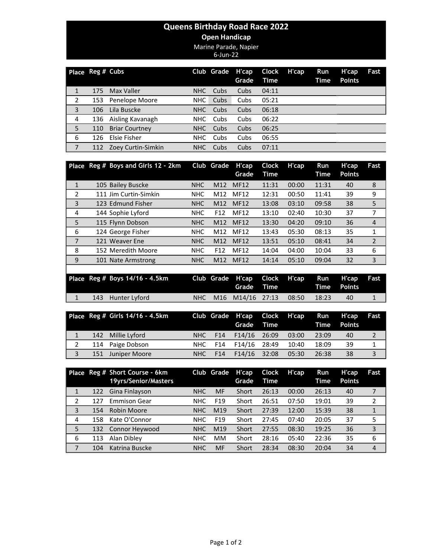## Queens Birthday Road Race 2022

## Open Handicap

Marine Parade, Napier

6-Jun-22

|                | Place Reg # Cubs |                       |      | Club Grade H'cap | Grade | Clock<br>Time | H'cap | Run<br>Time | H'cap<br><b>Points</b> | Fast |
|----------------|------------------|-----------------------|------|------------------|-------|---------------|-------|-------------|------------------------|------|
|                | 175              | Max Valler            | NHC  | Cubs             | Cubs  | 04:11         |       |             |                        |      |
| 2              | 153              | Penelope Moore        | NHC  | Cubs             | Cubs  | 05:21         |       |             |                        |      |
| 3              | 106              | Lila Buscke           | NHC. | Cubs             | Cubs  | 06:18         |       |             |                        |      |
| 4              | 136              | Aisling Kavanagh      | NHC. | Cubs             | Cubs  | 06:22         |       |             |                        |      |
| 5              | 110              | <b>Briar Courtney</b> | NHC  | Cubs             | Cubs  | 06:25         |       |             |                        |      |
| 6              | 126              | Elsie Fisher          | NHC. | Cubs             | Cubs  | 06:55         |       |             |                        |      |
| $\overline{7}$ | 112              | Zoey Curtin-Simkin    | NHC  | Cubs             | Cubs  | 07:11         |       |             |                        |      |

|   | Place Reg # Boys and Girls 12 - 2km |            | Club Grade      | H'cap<br>Grade | <b>Clock</b><br>Time | H'cap | Run<br>Time | H'cap<br><b>Points</b> | Fast           |
|---|-------------------------------------|------------|-----------------|----------------|----------------------|-------|-------------|------------------------|----------------|
| 1 | 105 Bailey Buscke                   | <b>NHC</b> | M12             | <b>MF12</b>    | 11:31                | 00:00 | 11:31       | 40                     | 8              |
| 2 | 111 Jim Curtin-Simkin               | <b>NHC</b> | M12             | <b>MF12</b>    | 12:31                | 00:50 | 11:41       | 39                     | 9              |
| 3 | 123 Edmund Fisher                   | <b>NHC</b> | M12             | <b>MF12</b>    | 13:08                | 03:10 | 09:58       | 38                     | 5              |
| 4 | 144 Sophie Lyford                   | <b>NHC</b> | F <sub>12</sub> | <b>MF12</b>    | 13:10                | 02:40 | 10:30       | 37                     | 7              |
| 5 | 115 Flynn Dobson                    | <b>NHC</b> | M12             | <b>MF12</b>    | 13:30                | 04:20 | 09:10       | 36                     | $\overline{4}$ |
| 6 | 124 George Fisher                   | <b>NHC</b> | M12             | MF12           | 13:43                | 05:30 | 08:13       | 35                     | 1              |
| 7 | 121 Weaver Ene                      | <b>NHC</b> | M12             | <b>MF12</b>    | 13:51                | 05:10 | 08:41       | 34                     | $\overline{2}$ |
| 8 | 152 Meredith Moore                  | <b>NHC</b> | F <sub>12</sub> | <b>MF12</b>    | 14:04                | 04:00 | 10:04       | 33                     | 6              |
| 9 | 101 Nate Armstrong                  | <b>NHC</b> | M12             | <b>MF12</b>    | 14:14                | 05:10 | 09:04       | 32                     | 3              |
|   |                                     |            |                 |                |                      |       |             |                        |                |

|  | Place Reg # Boys $14/16 - 4.5$ km |  | Club Grade H'cap Clock H'cap Run H'cap Fast | Grade Time <b>Time</b> Points |         |    |  |
|--|-----------------------------------|--|---------------------------------------------|-------------------------------|---------|----|--|
|  | 143 Hunter Lyford                 |  | NHC M16 M14/16 27:13 08:50                  |                               | - 18:23 | 40 |  |

|   |     | Place Reg # Girls 14/16 - 4.5km |       |                 | Club Grade H'cap Clock H'cap<br>Grade Time |       | Run<br>Time | H'cap<br><b>Points</b> | Fast |
|---|-----|---------------------------------|-------|-----------------|--------------------------------------------|-------|-------------|------------------------|------|
|   |     | 142 Millie Lyford               | NHC   | F <sub>14</sub> | F14/16 26:09                               | 03:00 | 23:09       | 40                     |      |
|   |     | 114 Paige Dobson                | NHC . | F14             | F14/16 28:49                               | 10:40 | 18:09       | -39                    |      |
| 3 | 151 | Juniper Moore                   | NHC.  | F <sub>14</sub> | F14/16 32:08                               | 05:30 | 26:38       | 38                     |      |

|   |     | Place Reg # Short Course - 6km<br>19yrs/Senior/Masters |            | Club Grade      | H'cap<br>Grade | <b>Clock</b><br>Time | H'cap | <b>Run</b><br>Time | H'cap<br><b>Points</b> | Fast           |
|---|-----|--------------------------------------------------------|------------|-----------------|----------------|----------------------|-------|--------------------|------------------------|----------------|
|   | 122 | Gina Finlayson                                         | <b>NHC</b> | MF              | Short          | 26:13                | 00:00 | 26:13              | 40                     |                |
| 2 | 127 | Emmison Gear                                           | <b>NHC</b> | F <sub>19</sub> | Short          | 26:51                | 07:50 | 19:01              | 39                     | 2              |
| 3 | 154 | Robin Moore                                            | <b>NHC</b> | M <sub>19</sub> | Short          | 27:39                | 12:00 | 15:39              | 38                     | $\mathbf{1}$   |
| 4 | 158 | Kate O'Connor                                          | NHC        | F <sub>19</sub> | Short          | 27:45                | 07:40 | 20:05              | 37                     | 5              |
| 5 | 132 | Connor Heywood                                         | <b>NHC</b> | M19             | Short          | 27:55                | 08:30 | 19:25              | 36                     | 3              |
| 6 | 113 | Alan Dibley                                            | <b>NHC</b> | <b>MM</b>       | Short          | 28:16                | 05:40 | 22:36              | 35                     | 6              |
| 7 | 104 | Katrina Buscke                                         | <b>NHC</b> | MF              | Short          | 28:34                | 08:30 | 20:04              | 34                     | $\overline{4}$ |